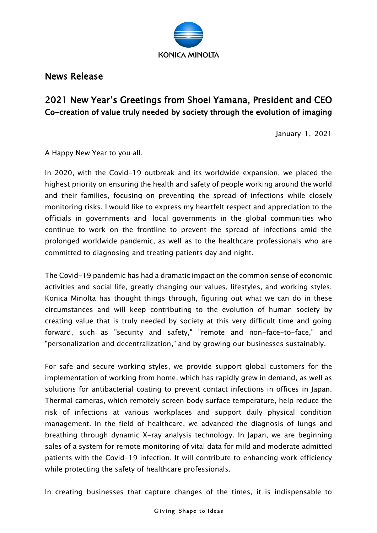

News Release

## 2021 New Year's Greetings from Shoei Yamana, President and CEO Co-creation of value truly needed by society through the evolution of imaging

January 1, 2021

A Happy New Year to you all.

In 2020, with the Covid-19 outbreak and its worldwide expansion, we placed the highest priority on ensuring the health and safety of people working around the world and their families, focusing on preventing the spread of infections while closely monitoring risks. I would like to express my heartfelt respect and appreciation to the officials in governments and local governments in the global communities who continue to work on the frontline to prevent the spread of infections amid the prolonged worldwide pandemic, as well as to the healthcare professionals who are committed to diagnosing and treating patients day and night.

The Covid-19 pandemic has had a dramatic impact on the common sense of economic activities and social life, greatly changing our values, lifestyles, and working styles. Konica Minolta has thought things through, figuring out what we can do in these circumstances and will keep contributing to the evolution of human society by creating value that is truly needed by society at this very difficult time and going forward, such as "security and safety," "remote and non-face-to-face," and "personalization and decentralization," and by growing our businesses sustainably.

For safe and secure working styles, we provide support global customers for the implementation of working from home, which has rapidly grew in demand, as well as solutions for antibacterial coating to prevent contact infections in offices in Japan. Thermal cameras, which remotely screen body surface temperature, help reduce the risk of infections at various workplaces and support daily physical condition management. In the field of healthcare, we advanced the diagnosis of lungs and breathing through dynamic X-ray analysis technology. In Japan, we are beginning sales of a system for remote monitoring of vital data for mild and moderate admitted patients with the Covid-19 infection. It will contribute to enhancing work efficiency while protecting the safety of healthcare professionals.

In creating businesses that capture changes of the times, it is indispensable to